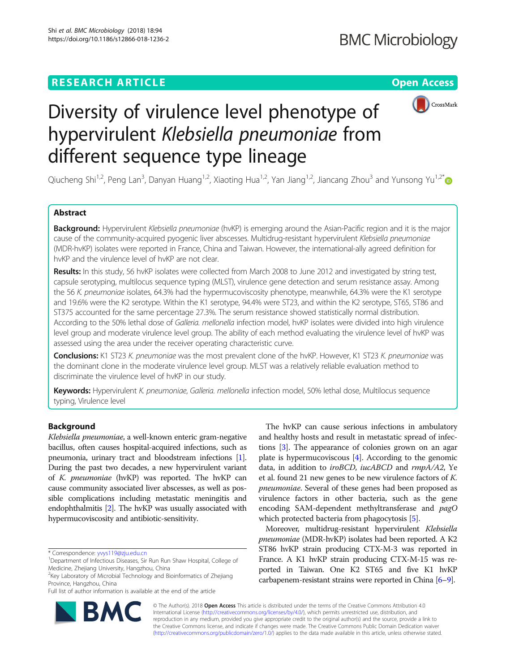# **RESEARCH ARTICLE EXECUTE: Open Access**



# Diversity of virulence level phenotype of hypervirulent Klebsiella pneumoniae from different sequence type lineage

Qiucheng Shi<sup>1,2</sup>, Peng Lan<sup>3</sup>, Danyan Huang<sup>1,2</sup>, Xiaoting Hua<sup>1,2</sup>, Yan Jiang<sup>1,2</sup>, Jiancang Zhou<sup>3</sup> and Yunsong Yu<sup>1,2\*</sup>

# Abstract

Background: Hypervirulent Klebsiella pneumoniae (hvKP) is emerging around the Asian-Pacific region and it is the major cause of the community-acquired pyogenic liver abscesses. Multidrug-resistant hypervirulent Klebsiella pneumoniae (MDR-hvKP) isolates were reported in France, China and Taiwan. However, the international-ally agreed definition for hvKP and the virulence level of hvKP are not clear.

Results: In this study, 56 hvKP isolates were collected from March 2008 to June 2012 and investigated by string test, capsule serotyping, multilocus sequence typing (MLST), virulence gene detection and serum resistance assay. Among the 56 K. pneumoniae isolates, 64.3% had the hypermucoviscosity phenotype, meanwhile, 64.3% were the K1 serotype and 19.6% were the K2 serotype. Within the K1 serotype, 94.4% were ST23, and within the K2 serotype, ST65, ST86 and ST375 accounted for the same percentage 27.3%. The serum resistance showed statistically normal distribution. According to the 50% lethal dose of Galleria. mellonella infection model, hvKP isolates were divided into high virulence level group and moderate virulence level group. The ability of each method evaluating the virulence level of hvKP was assessed using the area under the receiver operating characteristic curve.

Conclusions: K1 ST23 K. pneumoniae was the most prevalent clone of the hvKP. However, K1 ST23 K. pneumoniae was the dominant clone in the moderate virulence level group. MLST was a relatively reliable evaluation method to discriminate the virulence level of hvKP in our study.

Keywords: Hypervirulent K. pneumoniae, Galleria. mellonella infection model, 50% lethal dose, Multilocus sequence typing, Virulence level

# Background

Klebsiella pneumoniae, a well-known enteric gram-negative bacillus, often causes hospital-acquired infections, such as pneumonia, urinary tract and bloodstream infections [[1](#page-4-0)]. During the past two decades, a new hypervirulent variant of K. pneumoniae (hvKP) was reported. The hvKP can cause community associated liver abscesses, as well as possible complications including metastatic meningitis and endophthalmitis [\[2](#page-4-0)]. The hvKP was usually associated with hypermucoviscosity and antibiotic-sensitivity.

Full list of author information is available at the end of the article



The hvKP can cause serious infections in ambulatory and healthy hosts and result in metastatic spread of infections [[3](#page-4-0)]. The appearance of colonies grown on an agar plate is hypermucoviscous  $[4]$ . According to the genomic data, in addition to *iroBCD*, *iucABCD* and *rmpA/A2*, Ye et al. found 21 new genes to be new virulence factors of K. pneumoniae. Several of these genes had been proposed as virulence factors in other bacteria, such as the gene encoding SAM-dependent methyltransferase and pagO which protected bacteria from phagocytosis [[5\]](#page-4-0).

Moreover, multidrug-resistant hypervirulent Klebsiella pneumoniae (MDR-hvKP) isolates had been reported. A K2 ST86 hvKP strain producing CTX-M-3 was reported in France. A K1 hvKP strain producing CTX-M-15 was reported in Taiwan. One K2 ST65 and five K1 hvKP carbapenem-resistant strains were reported in China [[6](#page-4-0)–[9\]](#page-4-0).

© The Author(s). 2018 Open Access This article is distributed under the terms of the Creative Commons Attribution 4.0 International License [\(http://creativecommons.org/licenses/by/4.0/](http://creativecommons.org/licenses/by/4.0/)), which permits unrestricted use, distribution, and reproduction in any medium, provided you give appropriate credit to the original author(s) and the source, provide a link to the Creative Commons license, and indicate if changes were made. The Creative Commons Public Domain Dedication waiver [\(http://creativecommons.org/publicdomain/zero/1.0/](http://creativecommons.org/publicdomain/zero/1.0/)) applies to the data made available in this article, unless otherwise stated.

<sup>\*</sup> Correspondence: [yvys119@zju.edu.cn](mailto:yvys119@zju.edu.cn) <sup>1</sup>

<sup>&</sup>lt;sup>1</sup>Department of Infectious Diseases, Sir Run Run Shaw Hospital, College of Medicine, Zhejiang University, Hangzhou, China

<sup>&</sup>lt;sup>2</sup>Key Laboratory of Microbial Technology and Bioinformatics of Zhejiang Province, Hangzhou, China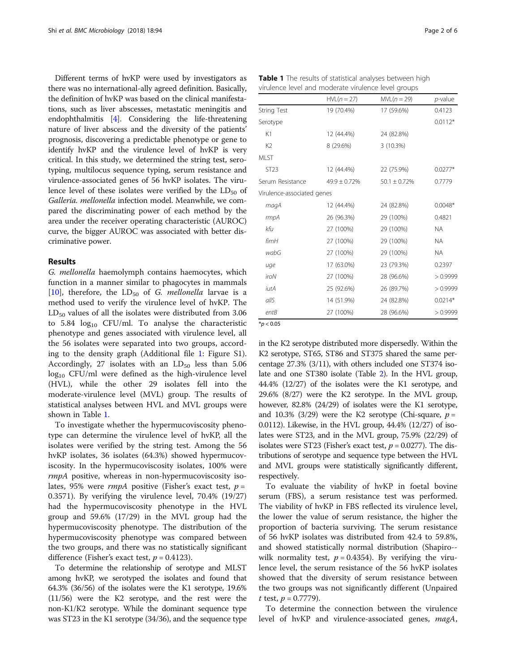Different terms of hvKP were used by investigators as there was no international-ally agreed definition. Basically, the definition of hvKP was based on the clinical manifestations, such as liver abscesses, metastatic meningitis and endophthalmitis [\[4\]](#page-4-0). Considering the life-threatening nature of liver abscess and the diversity of the patients' prognosis, discovering a predictable phenotype or gene to identify hvKP and the virulence level of hvKP is very critical. In this study, we determined the string test, serotyping, multilocus sequence typing, serum resistance and virulence-associated genes of 56 hvKP isolates. The virulence level of these isolates were verified by the  $LD_{50}$  of Galleria. mellonella infection model. Meanwhile, we compared the discriminating power of each method by the area under the receiver operating characteristic (AUROC) curve, the bigger AUROC was associated with better discriminative power.

# Results

G. mellonella haemolymph contains haemocytes, which function in a manner similar to phagocytes in mammals [[10\]](#page-4-0), therefore, the  $LD_{50}$  of G. mellonella larvae is a method used to verify the virulence level of hvKP. The  $LD_{50}$  values of all the isolates were distributed from 3.06 to  $5.84 \log_{10}$  CFU/ml. To analyse the characteristic phenotype and genes associated with virulence level, all the 56 isolates were separated into two groups, according to the density graph (Additional file [1](#page-4-0): Figure S1). Accordingly, 27 isolates with an  $LD_{50}$  less than 5.06  $log_{10}$  CFU/ml were defined as the high-virulence level (HVL), while the other 29 isolates fell into the moderate-virulence level (MVL) group. The results of statistical analyses between HVL and MVL groups were shown in Table 1.

To investigate whether the hypermucoviscosity phenotype can determine the virulence level of hvKP, all the isolates were verified by the string test. Among the 56 hvKP isolates, 36 isolates (64.3%) showed hypermucoviscosity. In the hypermucoviscosity isolates, 100% were rmpA positive, whereas in non-hypermucoviscosity isolates, 95% were  $rmpA$  positive (Fisher's exact test,  $p =$ 0.3571). By verifying the virulence level, 70.4% (19/27) had the hypermucoviscosity phenotype in the HVL group and 59.6% (17/29) in the MVL group had the hypermucoviscosity phenotype. The distribution of the hypermucoviscosity phenotype was compared between the two groups, and there was no statistically significant difference (Fisher's exact test,  $p = 0.4123$ ).

To determine the relationship of serotype and MLST among hvKP, we serotyped the isolates and found that 64.3% (36/56) of the isolates were the K1 serotype, 19.6% (11/56) were the K2 serotype, and the rest were the non-K1/K2 serotype. While the dominant sequence type was ST23 in the K1 serotype (34/36), and the sequence type

|  | <b>Table 1</b> The results of statistical analyses between high |  |
|--|-----------------------------------------------------------------|--|
|  | virulence level and moderate virulence level groups             |  |

|                            | $HVL(n = 27)$     | $MVL(n = 29)$     | <i>p</i> -value |
|----------------------------|-------------------|-------------------|-----------------|
| String Test                | 19 (70.4%)        | 17 (59.6%)        | 0.4123          |
| Serotype                   |                   |                   | $0.0112*$       |
| K1                         | 12 (44.4%)        | 24 (82.8%)        |                 |
| K <sub>2</sub>             | 8 (29.6%)         | 3 (10.3%)         |                 |
| <b>MLST</b>                |                   |                   |                 |
| <b>ST23</b>                | 12 (44.4%)        | 22 (75.9%)        | $0.0277*$       |
| Serum Resistance           | $49.9 \pm 0.72\%$ | $50.1 \pm 0.72\%$ | 0.7779          |
| Virulence-associated genes |                   |                   |                 |
| magA                       | 12 (44.4%)        | 24 (82.8%)        | $0.0048*$       |
| rmpA                       | 26 (96.3%)        | 29 (100%)         | 0.4821          |
| kfu                        | 27 (100%)         | 29 (100%)         | <b>NA</b>       |
| fimH                       | 27 (100%)         | 29 (100%)         | <b>NA</b>       |
| wabG                       | 27 (100%)         | 29 (100%)         | <b>NA</b>       |
| uge                        | 17 (63.0%)        | 23 (79.3%)        | 0.2397          |
| iroN                       | 27 (100%)         | 28 (96.6%)        | >0.9999         |
| iutA                       | 25 (92.6%)        | 26 (89.7%)        | >0.9999         |
| allS                       | 14 (51.9%)        | 24 (82.8%)        | $0.0214*$       |
| entB                       | 27 (100%)         | 28 (96.6%)        | >0.9999         |

 $*p < 0.05$ 

in the K2 serotype distributed more dispersedly. Within the K2 serotype, ST65, ST86 and ST375 shared the same percentage 27.3% (3/11), with others included one ST374 isolate and one ST380 isolate (Table [2\)](#page-2-0). In the HVL group, 44.4% (12/27) of the isolates were the K1 serotype, and 29.6% (8/27) were the K2 serotype. In the MVL group, however, 82.8% (24/29) of isolates were the K1 serotype, and 10.3% (3/29) were the K2 serotype (Chi-square,  $p =$ 0.0112). Likewise, in the HVL group, 44.4% (12/27) of isolates were ST23, and in the MVL group, 75.9% (22/29) of isolates were ST23 (Fisher's exact test,  $p = 0.0277$ ). The distributions of serotype and sequence type between the HVL and MVL groups were statistically significantly different, respectively.

To evaluate the viability of hvKP in foetal bovine serum (FBS), a serum resistance test was performed. The viability of hvKP in FBS reflected its virulence level, the lower the value of serum resistance, the higher the proportion of bacteria surviving. The serum resistance of 56 hvKP isolates was distributed from 42.4 to 59.8%, and showed statistically normal distribution (Shapiro- wilk normality test,  $p = 0.4354$ ). By verifying the virulence level, the serum resistance of the 56 hvKP isolates showed that the diversity of serum resistance between the two groups was not significantly different (Unpaired t test,  $p = 0.7779$ ).

To determine the connection between the virulence level of hvKP and virulence-associated genes, magA,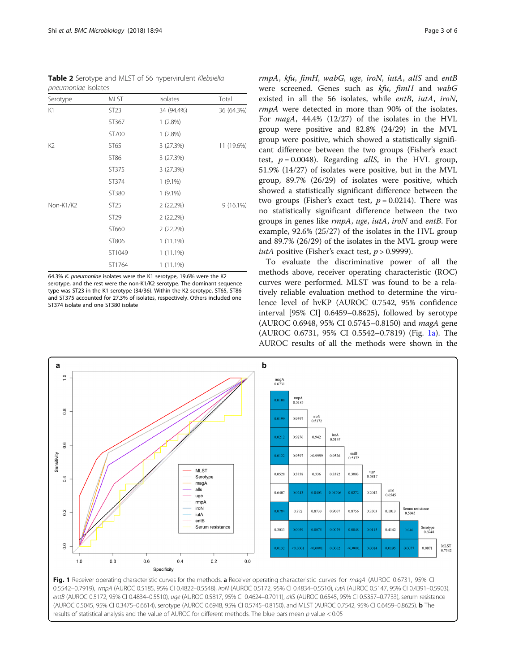<span id="page-2-0"></span>Table 2 Serotype and MLST of 56 hypervirulent Klebsiella pneumoniae isolates

| Serotype       | <b>MLST</b>      | Isolates    | Total       |
|----------------|------------------|-------------|-------------|
| K1             | ST <sub>23</sub> | 34 (94.4%)  | 36 (64.3%)  |
|                | ST367            | 1(2.8%)     |             |
|                | ST700            | $1(2.8\%)$  |             |
| K <sub>2</sub> | ST65             | 3 (27.3%)   | 11 (19.6%)  |
|                | ST86             | 3 (27.3%)   |             |
|                | ST375            | 3 (27.3%)   |             |
|                | ST374            | $1(9.1\%)$  |             |
|                | ST380            | $1(9.1\%)$  |             |
| Non-K1/K2      | ST <sub>25</sub> | 2 (22.2%)   | $9(16.1\%)$ |
|                | ST29             | 2 (22.2%)   |             |
|                | ST660            | 2 (22.2%)   |             |
|                | ST806            | $1(11.1\%)$ |             |
|                | ST1049           | $1(11.1\%)$ |             |
|                | ST1764           | $1(11.1\%)$ |             |

64.3% K. pneumoniae isolates were the K1 serotype, 19.6% were the K2 serotype, and the rest were the non-K1/K2 serotype. The dominant sequence type was ST23 in the K1 serotype (34/36). Within the K2 serotype, ST65, ST86 and ST375 accounted for 27.3% of isolates, respectively. Others included one ST374 isolate and one ST380 isolate

rmpA, kfu, fimH, wabG, uge, iroN, iutA, allS and entB were screened. Genes such as kfu, fimH and wabG existed in all the 56 isolates, while entB, iutA, iroN, rmpA were detected in more than 90% of the isolates. For magA, 44.4% (12/27) of the isolates in the HVL group were positive and 82.8% (24/29) in the MVL group were positive, which showed a statistically significant difference between the two groups (Fisher's exact test,  $p = 0.0048$ ). Regarding *allS*, in the HVL group, 51.9% (14/27) of isolates were positive, but in the MVL group, 89.7% (26/29) of isolates were positive, which showed a statistically significant difference between the two groups (Fisher's exact test,  $p = 0.0214$ ). There was no statistically significant difference between the two groups in genes like rmpA, uge, iutA, iroN and entB. For example, 92.6% (25/27) of the isolates in the HVL group and 89.7% (26/29) of the isolates in the MVL group were *iutA* positive (Fisher's exact test,  $p > 0.9999$ ).

To evaluate the discriminative power of all the methods above, receiver operating characteristic (ROC) curves were performed. MLST was found to be a relatively reliable evaluation method to determine the virulence level of hvKP (AUROC 0.7542, 95% confidence interval [95% CI] 0.6459–0.8625), followed by serotype (AUROC 0.6948, 95% CI 0.5745–0.8150) and magA gene (AUROC 0.6731, 95% CI 0.5542–0.7819) (Fig. 1a). The AUROC results of all the methods were shown in the



0.5542–0.7919), rmpA (AUROC 0.5185, 95% CI 0.4822–0.5548), iroN (AUROC 0.5172, 95% CI 0.4834–0.5510), iutA (AUROC 0.5147, 95% CI 0.4391–0.5903), entB (AUROC 0.5172, 95% CI 0.4834–0.5510), uge (AUROC 0.5817, 95% CI 0.4624–0.7011), allS (AUROC 0.6545, 95% CI 0.5357–0.7733), serum resistance (AUROC 0.5045, 95% CI 0.3475–0.6614), serotype (AUROC 0.6948, 95% CI 0.5745–0.8150), and MLST (AUROC 0.7542, 95% CI 0.6459–0.8625). b The results of statistical analysis and the value of AUROC for different methods. The blue bars mean p value < 0.05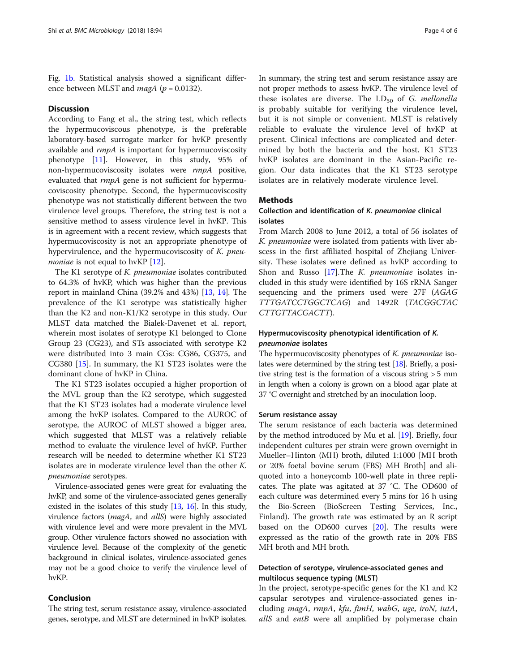Fig. [1b](#page-2-0). Statistical analysis showed a significant difference between MLST and *magA* ( $p = 0.0132$ ).

# **Discussion**

According to Fang et al., the string test, which reflects the hypermucoviscous phenotype, is the preferable laboratory-based surrogate marker for hvKP presently available and rmpA is important for hypermucoviscosity phenotype [[11](#page-5-0)]. However, in this study, 95% of non-hypermucoviscosity isolates were rmpA positive, evaluated that rmpA gene is not sufficient for hypermucoviscosity phenotype. Second, the hypermucoviscosity phenotype was not statistically different between the two virulence level groups. Therefore, the string test is not a sensitive method to assess virulence level in hvKP. This is in agreement with a recent review, which suggests that hypermucoviscosity is not an appropriate phenotype of hypervirulence, and the hypermucoviscosity of K. pneu*moniae* is not equal to hvKP  $[12]$  $[12]$ .

The K1 serotype of K. pneumoniae isolates contributed to 64.3% of hvKP, which was higher than the previous report in mainland China (39.2% and 43%) [[13](#page-5-0), [14\]](#page-5-0). The prevalence of the K1 serotype was statistically higher than the K2 and non-K1/K2 serotype in this study. Our MLST data matched the Bialek-Davenet et al. report, wherein most isolates of serotype K1 belonged to Clone Group 23 (CG23), and STs associated with serotype K2 were distributed into 3 main CGs: CG86, CG375, and CG380 [[15\]](#page-5-0). In summary, the K1 ST23 isolates were the dominant clone of hvKP in China.

The K1 ST23 isolates occupied a higher proportion of the MVL group than the K2 serotype, which suggested that the K1 ST23 isolates had a moderate virulence level among the hvKP isolates. Compared to the AUROC of serotype, the AUROC of MLST showed a bigger area, which suggested that MLST was a relatively reliable method to evaluate the virulence level of hvKP. Further research will be needed to determine whether K1 ST23 isolates are in moderate virulence level than the other K. pneumoniae serotypes.

Virulence-associated genes were great for evaluating the hvKP, and some of the virulence-associated genes generally existed in the isolates of this study [\[13,](#page-5-0) [16\]](#page-5-0). In this study, virulence factors (*magA*, and *allS*) were highly associated with virulence level and were more prevalent in the MVL group. Other virulence factors showed no association with virulence level. Because of the complexity of the genetic background in clinical isolates, virulence-associated genes may not be a good choice to verify the virulence level of hvKP.

# Conclusion

The string test, serum resistance assay, virulence-associated genes, serotype, and MLST are determined in hvKP isolates.

In summary, the string test and serum resistance assay are not proper methods to assess hvKP. The virulence level of these isolates are diverse. The  $LD_{50}$  of G. mellonella is probably suitable for verifying the virulence level, but it is not simple or convenient. MLST is relatively reliable to evaluate the virulence level of hvKP at present. Clinical infections are complicated and determined by both the bacteria and the host. K1 ST23 hvKP isolates are dominant in the Asian-Pacific region. Our data indicates that the K1 ST23 serotype isolates are in relatively moderate virulence level.

# Methods

# Collection and identification of K. pneumoniae clinical isolates

From March 2008 to June 2012, a total of 56 isolates of K. pneumoniae were isolated from patients with liver abscess in the first affiliated hospital of Zhejiang University. These isolates were defined as hvKP according to Shon and Russo [[17\]](#page-5-0). The *K. pneumoniae* isolates included in this study were identified by 16S rRNA Sanger sequencing and the primers used were 27F (AGAG TTTGATCCTGGCTCAG) and 1492R (TACGGCTAC CTTGTTACGACTT).

# Hypermucoviscosity phenotypical identification of K. pneumoniae isolates

The hypermucoviscosity phenotypes of K. *pneumoniae* isolates were determined by the string test [\[18\]](#page-5-0). Briefly, a positive string test is the formation of a viscous string > 5 mm in length when a colony is grown on a blood agar plate at 37 °C overnight and stretched by an inoculation loop.

# Serum resistance assay

The serum resistance of each bacteria was determined by the method introduced by Mu et al. [[19\]](#page-5-0). Briefly, four independent cultures per strain were grown overnight in Mueller–Hinton (MH) broth, diluted 1:1000 [MH broth or 20% foetal bovine serum (FBS) MH Broth] and aliquoted into a honeycomb 100-well plate in three replicates. The plate was agitated at 37 °C. The OD600 of each culture was determined every 5 mins for 16 h using the Bio-Screen (BioScreen Testing Services, Inc., Finland). The growth rate was estimated by an R script based on the OD600 curves [\[20\]](#page-5-0). The results were expressed as the ratio of the growth rate in 20% FBS MH broth and MH broth.

# Detection of serotype, virulence-associated genes and multilocus sequence typing (MLST)

In the project, serotype-specific genes for the K1 and K2 capsular serotypes and virulence-associated genes including magA, rmpA, kfu, fimH, wabG, uge, iroN, iutA, allS and entB were all amplified by polymerase chain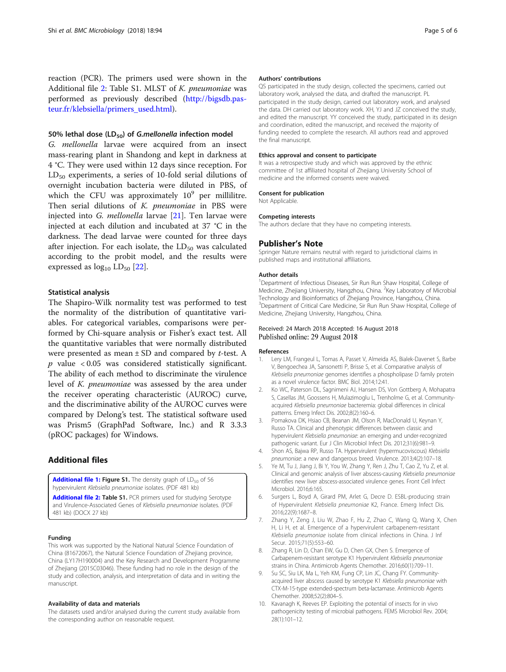<span id="page-4-0"></span>reaction (PCR). The primers used were shown in the Additional file 2: Table S1. MLST of K. pneumoniae was performed as previously described ([http://bigsdb.pas](http://bigsdb.pasteur.fr/klebsiella/primers_used.html)[teur.fr/klebsiella/primers\\_used.html\)](http://bigsdb.pasteur.fr/klebsiella/primers_used.html).

# 50% lethal dose (LD $_{50}$ ) of G.mellonella infection model

G. mellonella larvae were acquired from an insect mass-rearing plant in Shandong and kept in darkness at 4 °C. They were used within 12 days since reception. For  $LD_{50}$  experiments, a series of 10-fold serial dilutions of overnight incubation bacteria were diluted in PBS, of which the CFU was approximately  $10^9$  per millilitre. Then serial dilutions of K. pneumoniae in PBS were injected into G. mellonella larvae [[21\]](#page-5-0). Ten larvae were injected at each dilution and incubated at 37 °C in the darkness. The dead larvae were counted for three days after injection. For each isolate, the  $LD_{50}$  was calculated according to the probit model, and the results were expressed as  $log_{10}$  LD<sub>50</sub> [\[22](#page-5-0)].

# Statistical analysis

The Shapiro-Wilk normality test was performed to test the normality of the distribution of quantitative variables. For categorical variables, comparisons were performed by Chi-square analysis or Fisher's exact test. All the quantitative variables that were normally distributed were presented as mean  $\pm$  SD and compared by *t*-test. A  $p$  value < 0.05 was considered statistically significant. The ability of each method to discriminate the virulence level of K. pneumoniae was assessed by the area under the receiver operating characteristic (AUROC) curve, and the discriminative ability of the AUROC curves were compared by Delong's test. The statistical software used was Prism5 (GraphPad Software, lnc.) and R 3.3.3 (pROC packages) for Windows.

# Additional files

[Additional file 1:](https://doi.org/10.1186/s12866-018-1236-2) Figure S1. The density graph of LD<sub>50</sub> of 56 hypervirulent Klebsiella pneumoniae isolates. (PDF 481 kb)

[Additional file 2:](https://doi.org/10.1186/s12866-018-1236-2) Table S1. PCR primers used for studying Serotype and Virulence-Associated Genes of Klebsiella pneumoniae isolates. (PDF 481 kb) (DOCX 27 kb)

## Funding

This work was supported by the National Natural Science Foundation of China (81672067), the Natural Science Foundation of Zhejiang province, China (LY17H190004) and the Key Research and Development Programme of Zhejiang (2015C03046). These funding had no role in the design of the study and collection, analysis, and interpretation of data and in writing the manuscript.

#### Availability of data and materials

The datasets used and/or analysed during the current study available from the corresponding author on reasonable request.

# Authors' contributions

QS participated in the study design, collected the specimens, carried out laboratory work, analysed the data, and drafted the manuscript. PL participated in the study design, carried out laboratory work, and analysed the data. DH carried out laboratory work. XH, YJ and JZ conceived the study, and edited the manuscript. YY conceived the study, participated in its design and coordination, edited the manuscript, and received the majority of funding needed to complete the research. All authors read and approved the final manuscript.

# Ethics approval and consent to participate

It was a retrospective study and which was approved by the ethnic committee of 1st affiliated hospital of Zhejiang University School of medicine and the informed consents were waived.

#### Consent for publication

Not Applicable.

#### Competing interests

The authors declare that they have no competing interests.

# Publisher's Note

Springer Nature remains neutral with regard to jurisdictional claims in published maps and institutional affiliations.

#### Author details

<sup>1</sup>Department of Infectious Diseases, Sir Run Run Shaw Hospital, College of Medicine, Zhejiang University, Hangzhou, China. <sup>2</sup>Key Laboratory of Microbial Technology and Bioinformatics of Zhejiang Province, Hangzhou, China. <sup>3</sup>Department of Critical Care Medicine, Sir Run Run Shaw Hospital, College of Medicine, Zhejiang University, Hangzhou, China.

# Received: 24 March 2018 Accepted: 16 August 2018 Published online: 29 August 2018

### References

- 1. Lery LM, Frangeul L, Tomas A, Passet V, Almeida AS, Bialek-Davenet S, Barbe V, Bengoechea JA, Sansonetti P, Brisse S, et al. Comparative analysis of Klebsiella pneumoniae genomes identifies a phospholipase D family protein as a novel virulence factor. BMC Biol. 2014;12:41.
- 2. Ko WC, Paterson DL, Sagnimeni AJ, Hansen DS, Von Gottberg A, Mohapatra S, Casellas JM, Goossens H, Mulazimoglu L, Trenholme G, et al. Communityacquired Klebsiella pneumoniae bacteremia: global differences in clinical patterns. Emerg Infect Dis. 2002;8(2):160–6.
- 3. Pomakova DK, Hsiao CB, Beanan JM, Olson R, MacDonald U, Keynan Y, Russo TA. Clinical and phenotypic differences between classic and hypervirulent Klebsiella pneumoniae: an emerging and under-recognized pathogenic variant. Eur J Clin Microbiol Infect Dis. 2012;31(6):981–9.
- 4. Shon AS, Bajwa RP, Russo TA. Hypervirulent (hypermucoviscous) Klebsiella pneumoniae: a new and dangerous breed. Virulence. 2013;4(2):107–18.
- 5. Ye M, Tu J, Jiang J, Bi Y, You W, Zhang Y, Ren J, Zhu T, Cao Z, Yu Z, et al. Clinical and genomic analysis of liver abscess-causing Klebsiella pneumoniae identifies new liver abscess-associated virulence genes. Front Cell Infect Microbiol. 2016;6:165.
- 6. Surgers L, Boyd A, Girard PM, Arlet G, Decre D. ESBL-producing strain of Hypervirulent Klebsiella pneumoniae K2, France. Emerg Infect Dis. 2016;22(9):1687–8.
- 7. Zhang Y, Zeng J, Liu W, Zhao F, Hu Z, Zhao C, Wang Q, Wang X, Chen H, Li H, et al. Emergence of a hypervirulent carbapenem-resistant Klebsiella pneumoniae isolate from clinical infections in China. J Inf Secur. 2015;71(5):553–60.
- Zhang R, Lin D, Chan EW, Gu D, Chen GX, Chen S. Emergence of Carbapenem-resistant serotype K1 Hypervirulent Klebsiella pneumoniae strains in China. Antimicrob Agents Chemother. 2016;60(1):709–11.
- 9. Su SC, Siu LK, Ma L, Yeh KM, Fung CP, Lin JC, Chang FY. Communityacquired liver abscess caused by serotype K1 Klebsiella pneumoniae with CTX-M-15-type extended-spectrum beta-lactamase. Antimicrob Agents Chemother. 2008;52(2):804–5.
- 10. Kavanagh K, Reeves EP. Exploiting the potential of insects for in vivo pathogenicity testing of microbial pathogens. FEMS Microbiol Rev. 2004; 28(1):101–12.